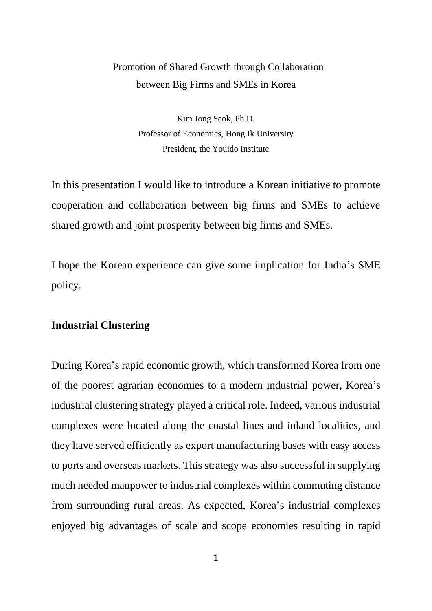# Promotion of Shared Growth through Collaboration between Big Firms and SMEs in Korea

Kim Jong Seok, Ph.D. Professor of Economics, Hong Ik University President, the Youido Institute

In this presentation I would like to introduce a Korean initiative to promote cooperation and collaboration between big firms and SMEs to achieve shared growth and joint prosperity between big firms and SMEs.

I hope the Korean experience can give some implication for India's SME policy.

### **Industrial Clustering**

During Korea's rapid economic growth, which transformed Korea from one of the poorest agrarian economies to a modern industrial power, Korea's industrial clustering strategy played a critical role. Indeed, various industrial complexes were located along the coastal lines and inland localities, and they have served efficiently as export manufacturing bases with easy access to ports and overseas markets. This strategy was also successful in supplying much needed manpower to industrial complexes within commuting distance from surrounding rural areas. As expected, Korea's industrial complexes enjoyed big advantages of scale and scope economies resulting in rapid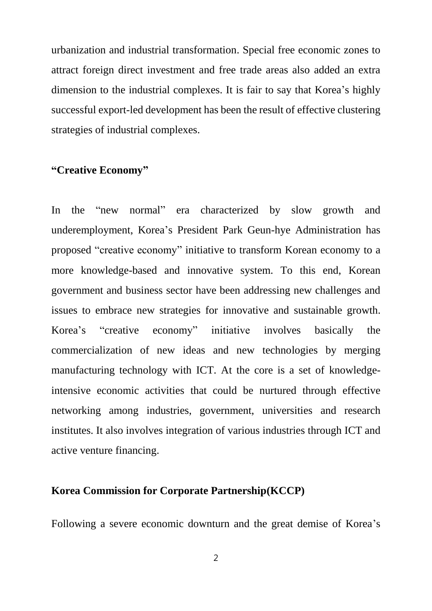urbanization and industrial transformation. Special free economic zones to attract foreign direct investment and free trade areas also added an extra dimension to the industrial complexes. It is fair to say that Korea's highly successful export-led development has been the result of effective clustering strategies of industrial complexes.

## **"Creative Economy"**

In the "new normal" era characterized by slow growth and underemployment, Korea's President Park Geun-hye Administration has proposed "creative economy" initiative to transform Korean economy to a more knowledge-based and innovative system. To this end, Korean government and business sector have been addressing new challenges and issues to embrace new strategies for innovative and sustainable growth. Korea's "creative economy" initiative involves basically the commercialization of new ideas and new technologies by merging manufacturing technology with ICT. At the core is a set of knowledgeintensive economic activities that could be nurtured through effective networking among industries, government, universities and research institutes. It also involves integration of various industries through ICT and active venture financing.

#### **Korea Commission for Corporate Partnership(KCCP)**

Following a severe economic downturn and the great demise of Korea's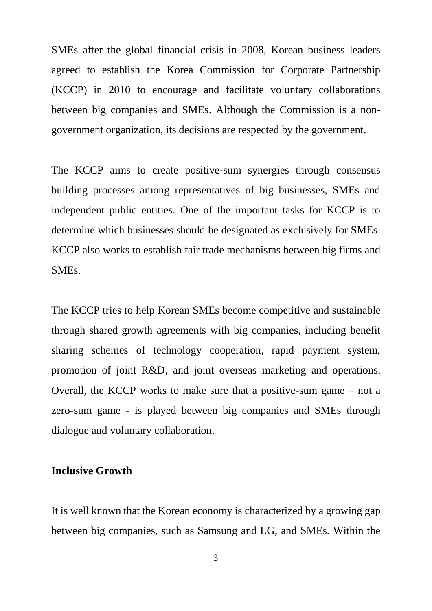SMEs after the global financial crisis in 2008, Korean business leaders agreed to establish the Korea Commission for Corporate Partnership (KCCP) in 2010 to encourage and facilitate voluntary collaborations between big companies and SMEs. Although the Commission is a nongovernment organization, its decisions are respected by the government.

The KCCP aims to create positive-sum synergies through consensus building processes among representatives of big businesses, SMEs and independent public entities. One of the important tasks for KCCP is to determine which businesses should be designated as exclusively for SMEs. KCCP also works to establish fair trade mechanisms between big firms and SMEs.

The KCCP tries to help Korean SMEs become competitive and sustainable through shared growth agreements with big companies, including benefit sharing schemes of technology cooperation, rapid payment system, promotion of joint R&D, and joint overseas marketing and operations. Overall, the KCCP works to make sure that a positive-sum game – not a zero-sum game - is played between big companies and SMEs through dialogue and voluntary collaboration.

#### **Inclusive Growth**

It is well known that the Korean economy is characterized by a growing gap between big companies, such as Samsung and LG, and SMEs. Within the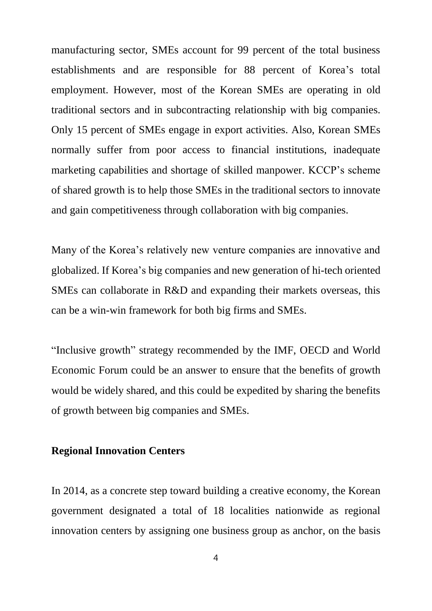manufacturing sector, SMEs account for 99 percent of the total business establishments and are responsible for 88 percent of Korea's total employment. However, most of the Korean SMEs are operating in old traditional sectors and in subcontracting relationship with big companies. Only 15 percent of SMEs engage in export activities. Also, Korean SMEs normally suffer from poor access to financial institutions, inadequate marketing capabilities and shortage of skilled manpower. KCCP's scheme of shared growth is to help those SMEs in the traditional sectors to innovate and gain competitiveness through collaboration with big companies.

Many of the Korea's relatively new venture companies are innovative and globalized. If Korea's big companies and new generation of hi-tech oriented SMEs can collaborate in R&D and expanding their markets overseas, this can be a win-win framework for both big firms and SMEs.

"Inclusive growth" strategy recommended by the IMF, OECD and World Economic Forum could be an answer to ensure that the benefits of growth would be widely shared, and this could be expedited by sharing the benefits of growth between big companies and SMEs.

#### **Regional Innovation Centers**

In 2014, as a concrete step toward building a creative economy, the Korean government designated a total of 18 localities nationwide as regional innovation centers by assigning one business group as anchor, on the basis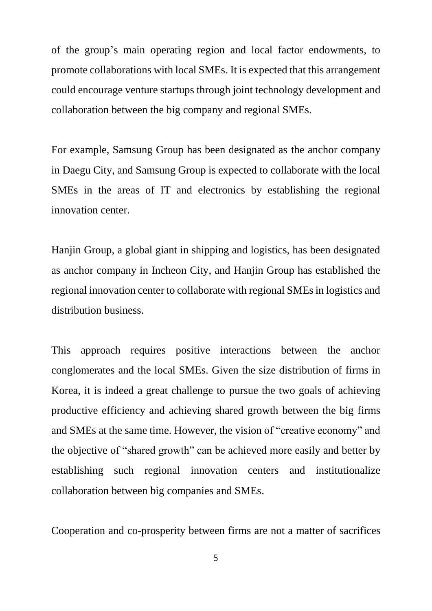of the group's main operating region and local factor endowments, to promote collaborations with local SMEs. It is expected that this arrangement could encourage venture startups through joint technology development and collaboration between the big company and regional SMEs.

For example, Samsung Group has been designated as the anchor company in Daegu City, and Samsung Group is expected to collaborate with the local SMEs in the areas of IT and electronics by establishing the regional innovation center.

Hanjin Group, a global giant in shipping and logistics, has been designated as anchor company in Incheon City, and Hanjin Group has established the regional innovation center to collaborate with regional SMEs in logistics and distribution business.

This approach requires positive interactions between the anchor conglomerates and the local SMEs. Given the size distribution of firms in Korea, it is indeed a great challenge to pursue the two goals of achieving productive efficiency and achieving shared growth between the big firms and SMEs at the same time. However, the vision of "creative economy" and the objective of "shared growth" can be achieved more easily and better by establishing such regional innovation centers and institutionalize collaboration between big companies and SMEs.

Cooperation and co-prosperity between firms are not a matter of sacrifices

5